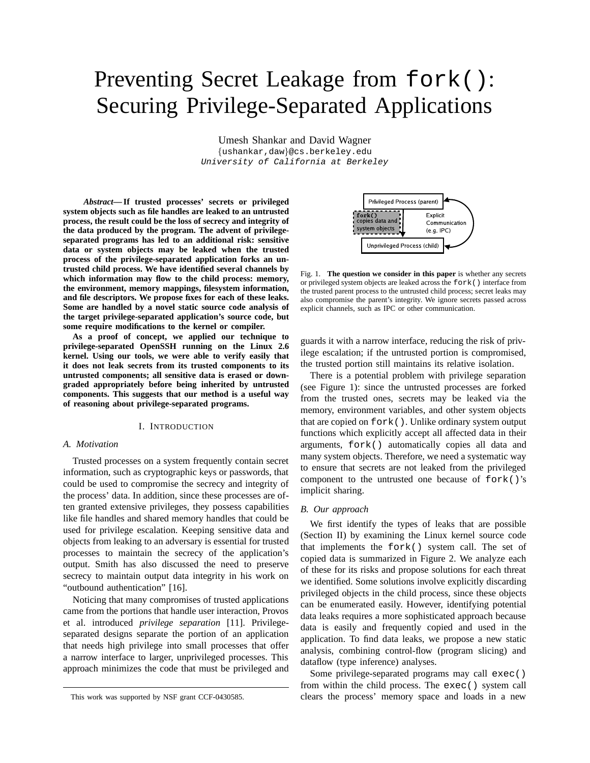# Preventing Secret Leakage from fork(): Securing Privilege-Separated Applications

Umesh Shankar and David Wagner {ushankar,daw}@cs.berkeley.edu University of California at Berkeley

*Abstract***— If trusted processes' secrets or privileged system objects such as file handles are leaked to an untrusted process, the result could be the loss of secrecy and integrity of the data produced by the program. The advent of privilegeseparated programs has led to an additional risk: sensitive data or system objects may be leaked when the trusted process of the privilege-separated application forks an untrusted child process. We have identified several channels by which information may flow to the child process: memory, the environment, memory mappings, filesystem information, and file descriptors. We propose fixes for each of these leaks. Some are handled by a novel static source code analysis of the target privilege-separated application's source code, but some require modifications to the kernel or compiler.**

**As a proof of concept, we applied our technique to privilege-separated OpenSSH running on the Linux 2.6 kernel. Using our tools, we were able to verify easily that it does not leak secrets from its trusted components to its untrusted components; all sensitive data is erased or downgraded appropriately before being inherited by untrusted components. This suggests that our method is a useful way of reasoning about privilege-separated programs.**

#### I. INTRODUCTION

## *A. Motivation*

Trusted processes on a system frequently contain secret information, such as cryptographic keys or passwords, that could be used to compromise the secrecy and integrity of the process' data. In addition, since these processes are often granted extensive privileges, they possess capabilities like file handles and shared memory handles that could be used for privilege escalation. Keeping sensitive data and objects from leaking to an adversary is essential for trusted processes to maintain the secrecy of the application's output. Smith has also discussed the need to preserve secrecy to maintain output data integrity in his work on "outbound authentication" [16].

Noticing that many compromises of trusted applications came from the portions that handle user interaction, Provos et al. introduced *privilege separation* [11]. Privilegeseparated designs separate the portion of an application that needs high privilege into small processes that offer a narrow interface to larger, unprivileged processes. This approach minimizes the code that must be privileged and



Fig. 1. **The question we consider in this paper** is whether any secrets or privileged system objects are leaked across the fork() interface from the trusted parent process to the untrusted child process; secret leaks may also compromise the parent's integrity. We ignore secrets passed across explicit channels, such as IPC or other communication.

guards it with a narrow interface, reducing the risk of privilege escalation; if the untrusted portion is compromised, the trusted portion still maintains its relative isolation.

There is a potential problem with privilege separation (see Figure 1): since the untrusted processes are forked from the trusted ones, secrets may be leaked via the memory, environment variables, and other system objects that are copied on fork(). Unlike ordinary system output functions which explicitly accept all affected data in their arguments, fork() automatically copies all data and many system objects. Therefore, we need a systematic way to ensure that secrets are not leaked from the privileged component to the untrusted one because of fork()'s implicit sharing.

#### *B. Our approach*

We first identify the types of leaks that are possible (Section II) by examining the Linux kernel source code that implements the fork() system call. The set of copied data is summarized in Figure 2. We analyze each of these for its risks and propose solutions for each threat we identified. Some solutions involve explicitly discarding privileged objects in the child process, since these objects can be enumerated easily. However, identifying potential data leaks requires a more sophisticated approach because data is easily and frequently copied and used in the application. To find data leaks, we propose a new static analysis, combining control-flow (program slicing) and dataflow (type inference) analyses.

Some privilege-separated programs may call exec() from within the child process. The exec() system call clears the process' memory space and loads in a new

This work was supported by NSF grant CCF-0430585.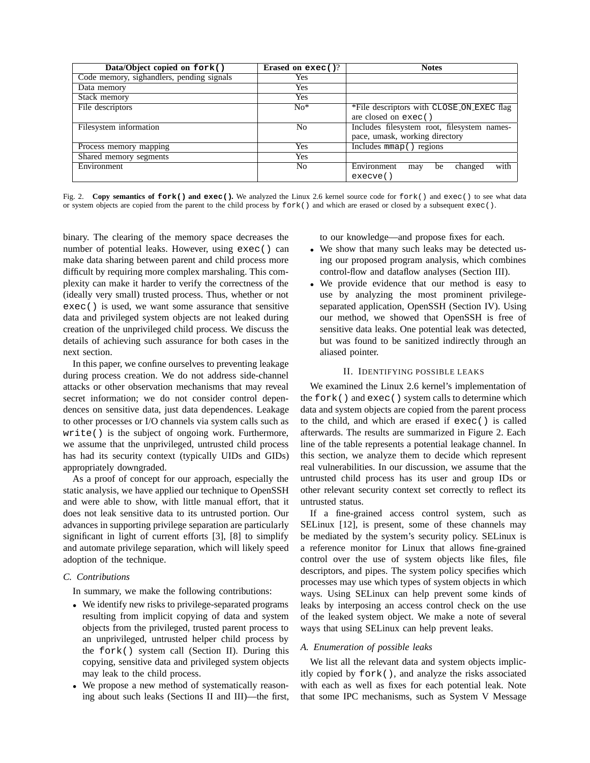| Data/Object copied on fork()              | Erased on exec()? | <b>Notes</b>                                |
|-------------------------------------------|-------------------|---------------------------------------------|
| Code memory, sighandlers, pending signals | Yes               |                                             |
| Data memory                               | Yes               |                                             |
| Stack memory                              | <b>Yes</b>        |                                             |
| File descriptors                          | $No*$             | *File descriptors with CLOSE_ON_EXEC flag   |
|                                           |                   | are closed on $exec()$                      |
| Filesystem information                    | No                | Includes filesystem root, filesystem names- |
|                                           |                   | pace, umask, working directory              |
| Process memory mapping                    | Yes               | Includes mmap () regions                    |
| Shared memory segments                    | Yes               |                                             |
| Environment                               | N <sub>0</sub>    | Environment<br>with<br>changed<br>be<br>may |
|                                           |                   | execve()                                    |

Fig. 2. **Copy semantics of fork() and exec().** We analyzed the Linux 2.6 kernel source code for fork() and exec() to see what data or system objects are copied from the parent to the child process by fork() and which are erased or closed by a subsequent exec().

binary. The clearing of the memory space decreases the number of potential leaks. However, using exec() can make data sharing between parent and child process more difficult by requiring more complex marshaling. This complexity can make it harder to verify the correctness of the (ideally very small) trusted process. Thus, whether or not exec() is used, we want some assurance that sensitive data and privileged system objects are not leaked during creation of the unprivileged child process. We discuss the details of achieving such assurance for both cases in the next section.

In this paper, we confine ourselves to preventing leakage during process creation. We do not address side-channel attacks or other observation mechanisms that may reveal secret information; we do not consider control dependences on sensitive data, just data dependences. Leakage to other processes or I/O channels via system calls such as write() is the subject of ongoing work. Furthermore, we assume that the unprivileged, untrusted child process has had its security context (typically UIDs and GIDs) appropriately downgraded.

As a proof of concept for our approach, especially the static analysis, we have applied our technique to OpenSSH and were able to show, with little manual effort, that it does not leak sensitive data to its untrusted portion. Our advances in supporting privilege separation are particularly significant in light of current efforts [3], [8] to simplify and automate privilege separation, which will likely speed adoption of the technique.

## *C. Contributions*

In summary, we make the following contributions:

- We identify new risks to privilege-separated programs resulting from implicit copying of data and system objects from the privileged, trusted parent process to an unprivileged, untrusted helper child process by the fork() system call (Section II). During this copying, sensitive data and privileged system objects may leak to the child process.
- We propose a new method of systematically reasoning about such leaks (Sections II and III)—the first,

to our knowledge—and propose fixes for each.

- We show that many such leaks may be detected using our proposed program analysis, which combines control-flow and dataflow analyses (Section III).
- We provide evidence that our method is easy to use by analyzing the most prominent privilegeseparated application, OpenSSH (Section IV). Using our method, we showed that OpenSSH is free of sensitive data leaks. One potential leak was detected, but was found to be sanitized indirectly through an aliased pointer.

## II. IDENTIFYING POSSIBLE LEAKS

We examined the Linux 2.6 kernel's implementation of the fork() and exec() system calls to determine which data and system objects are copied from the parent process to the child, and which are erased if exec() is called afterwards. The results are summarized in Figure 2. Each line of the table represents a potential leakage channel. In this section, we analyze them to decide which represent real vulnerabilities. In our discussion, we assume that the untrusted child process has its user and group IDs or other relevant security context set correctly to reflect its untrusted status.

If a fine-grained access control system, such as SELinux [12], is present, some of these channels may be mediated by the system's security policy. SELinux is a reference monitor for Linux that allows fine-grained control over the use of system objects like files, file descriptors, and pipes. The system policy specifies which processes may use which types of system objects in which ways. Using SELinux can help prevent some kinds of leaks by interposing an access control check on the use of the leaked system object. We make a note of several ways that using SELinux can help prevent leaks.

## *A. Enumeration of possible leaks*

We list all the relevant data and system objects implicitly copied by fork(), and analyze the risks associated with each as well as fixes for each potential leak. Note that some IPC mechanisms, such as System V Message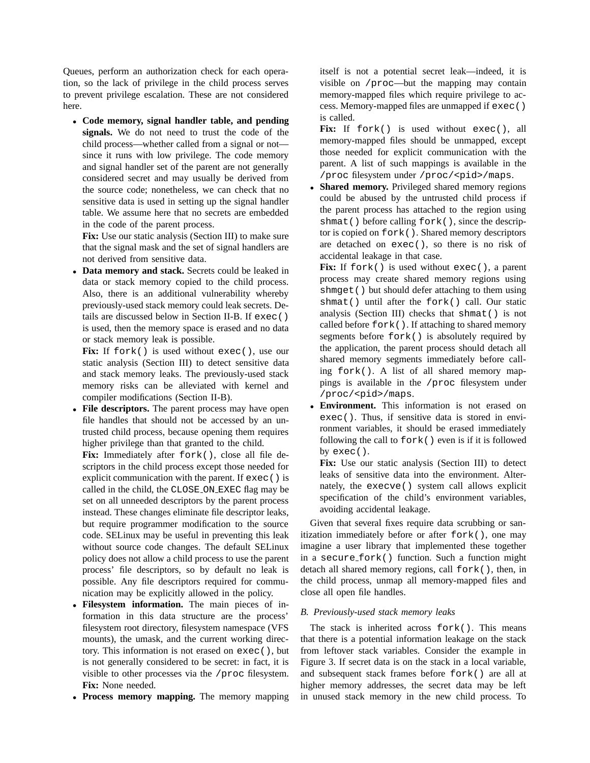Queues, perform an authorization check for each operation, so the lack of privilege in the child process serves to prevent privilege escalation. These are not considered here.

• **Code memory, signal handler table, and pending signals.** We do not need to trust the code of the child process—whether called from a signal or not since it runs with low privilege. The code memory and signal handler set of the parent are not generally considered secret and may usually be derived from the source code; nonetheless, we can check that no sensitive data is used in setting up the signal handler table. We assume here that no secrets are embedded in the code of the parent process.

**Fix:** Use our static analysis (Section III) to make sure that the signal mask and the set of signal handlers are not derived from sensitive data.

• **Data memory and stack.** Secrets could be leaked in data or stack memory copied to the child process. Also, there is an additional vulnerability whereby previously-used stack memory could leak secrets. Details are discussed below in Section II-B. If exec() is used, then the memory space is erased and no data or stack memory leak is possible.

Fix: If fork() is used without exec(), use our static analysis (Section III) to detect sensitive data and stack memory leaks. The previously-used stack memory risks can be alleviated with kernel and compiler modifications (Section II-B).

• **File descriptors.** The parent process may have open file handles that should not be accessed by an untrusted child process, because opening them requires higher privilege than that granted to the child.

Fix: Immediately after fork(), close all file descriptors in the child process except those needed for explicit communication with the parent. If exec() is called in the child, the CLOSE ON EXEC flag may be set on all unneeded descriptors by the parent process instead. These changes eliminate file descriptor leaks, but require programmer modification to the source code. SELinux may be useful in preventing this leak without source code changes. The default SELinux policy does not allow a child process to use the parent process' file descriptors, so by default no leak is possible. Any file descriptors required for communication may be explicitly allowed in the policy.

- **Filesystem information.** The main pieces of information in this data structure are the process' filesystem root directory, filesystem namespace (VFS mounts), the umask, and the current working directory. This information is not erased on exec(), but is not generally considered to be secret: in fact, it is visible to other processes via the /proc filesystem. **Fix:** None needed.
- **Process memory mapping.** The memory mapping

itself is not a potential secret leak—indeed, it is visible on /proc—but the mapping may contain memory-mapped files which require privilege to access. Memory-mapped files are unmapped if exec() is called.

Fix: If fork() is used without exec(), all memory-mapped files should be unmapped, except those needed for explicit communication with the parent. A list of such mappings is available in the /proc filesystem under /proc/<pid>/maps.

Shared memory. Privileged shared memory regions could be abused by the untrusted child process if the parent process has attached to the region using shmat() before calling fork(), since the descriptor is copied on fork(). Shared memory descriptors are detached on exec(), so there is no risk of accidental leakage in that case.

Fix: If fork() is used without exec(), a parent process may create shared memory regions using shmget() but should defer attaching to them using shmat() until after the fork() call. Our static analysis (Section III) checks that shmat() is not called before fork(). If attaching to shared memory segments before fork() is absolutely required by the application, the parent process should detach all shared memory segments immediately before calling fork(). A list of all shared memory mappings is available in the /proc filesystem under /proc/<pid>/maps.

• **Environment.** This information is not erased on exec(). Thus, if sensitive data is stored in environment variables, it should be erased immediately following the call to fork() even is if it is followed by  $exec()$ .

**Fix:** Use our static analysis (Section III) to detect leaks of sensitive data into the environment. Alternately, the execve() system call allows explicit specification of the child's environment variables, avoiding accidental leakage.

Given that several fixes require data scrubbing or sanitization immediately before or after fork(), one may imagine a user library that implemented these together in a secure fork() function. Such a function might detach all shared memory regions, call fork(), then, in the child process, unmap all memory-mapped files and close all open file handles.

# *B. Previously-used stack memory leaks*

The stack is inherited across fork(). This means that there is a potential information leakage on the stack from leftover stack variables. Consider the example in Figure 3. If secret data is on the stack in a local variable, and subsequent stack frames before fork() are all at higher memory addresses, the secret data may be left in unused stack memory in the new child process. To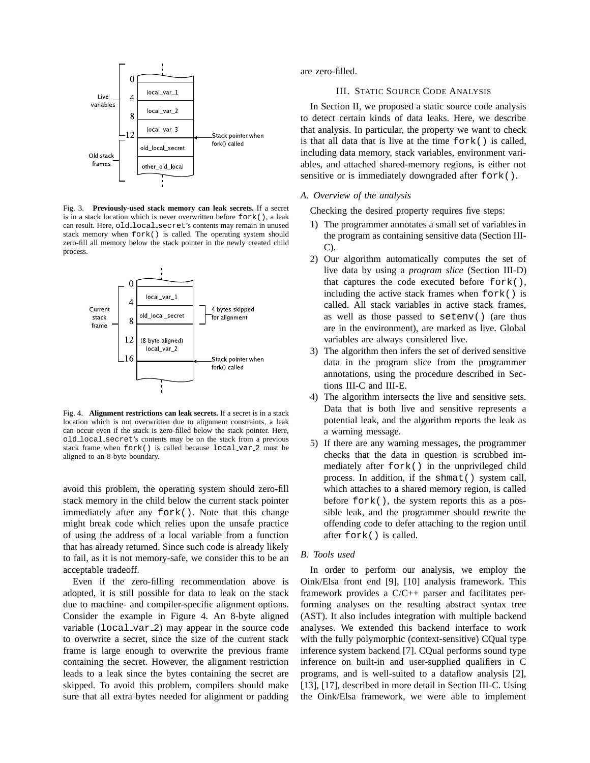

Fig. 3. **Previously-used stack memory can leak secrets.** If a secret is in a stack location which is never overwritten before fork(), a leak can result. Here, old\_local\_secret's contents may remain in unused stack memory when fork() is called. The operating system should zero-fill all memory below the stack pointer in the newly created child process.



Fig. 4. **Alignment restrictions can leak secrets.** If a secret is in a stack location which is not overwritten due to alignment constraints, a leak can occur even if the stack is zero-filled below the stack pointer. Here, old local secret's contents may be on the stack from a previous stack frame when fork() is called because local var 2 must be aligned to an 8-byte boundary.

avoid this problem, the operating system should zero-fill stack memory in the child below the current stack pointer immediately after any fork(). Note that this change might break code which relies upon the unsafe practice of using the address of a local variable from a function that has already returned. Since such code is already likely to fail, as it is not memory-safe, we consider this to be an acceptable tradeoff.

Even if the zero-filling recommendation above is adopted, it is still possible for data to leak on the stack due to machine- and compiler-specific alignment options. Consider the example in Figure 4. An 8-byte aligned variable (local var 2) may appear in the source code to overwrite a secret, since the size of the current stack frame is large enough to overwrite the previous frame containing the secret. However, the alignment restriction leads to a leak since the bytes containing the secret are skipped. To avoid this problem, compilers should make sure that all extra bytes needed for alignment or padding are zero-filled.

## III. STATIC SOURCE CODE ANALYSIS

In Section II, we proposed a static source code analysis to detect certain kinds of data leaks. Here, we describe that analysis. In particular, the property we want to check is that all data that is live at the time fork() is called, including data memory, stack variables, environment variables, and attached shared-memory regions, is either not sensitive or is immediately downgraded after fork().

## *A. Overview of the analysis*

Checking the desired property requires five steps:

- 1) The programmer annotates a small set of variables in the program as containing sensitive data (Section III-C).
- 2) Our algorithm automatically computes the set of live data by using a *program slice* (Section III-D) that captures the code executed before fork(), including the active stack frames when fork() is called. All stack variables in active stack frames, as well as those passed to setenv() (are thus are in the environment), are marked as live. Global variables are always considered live.
- 3) The algorithm then infers the set of derived sensitive data in the program slice from the programmer annotations, using the procedure described in Sections III-C and III-E.
- 4) The algorithm intersects the live and sensitive sets. Data that is both live and sensitive represents a potential leak, and the algorithm reports the leak as a warning message.
- 5) If there are any warning messages, the programmer checks that the data in question is scrubbed immediately after fork() in the unprivileged child process. In addition, if the shmat() system call, which attaches to a shared memory region, is called before fork(), the system reports this as a possible leak, and the programmer should rewrite the offending code to defer attaching to the region until after fork() is called.

## *B. Tools used*

In order to perform our analysis, we employ the Oink/Elsa front end [9], [10] analysis framework. This framework provides a C/C++ parser and facilitates performing analyses on the resulting abstract syntax tree (AST). It also includes integration with multiple backend analyses. We extended this backend interface to work with the fully polymorphic (context-sensitive) CQual type inference system backend [7]. CQual performs sound type inference on built-in and user-supplied qualifiers in C programs, and is well-suited to a dataflow analysis [2], [13], [17], described in more detail in Section III-C. Using the Oink/Elsa framework, we were able to implement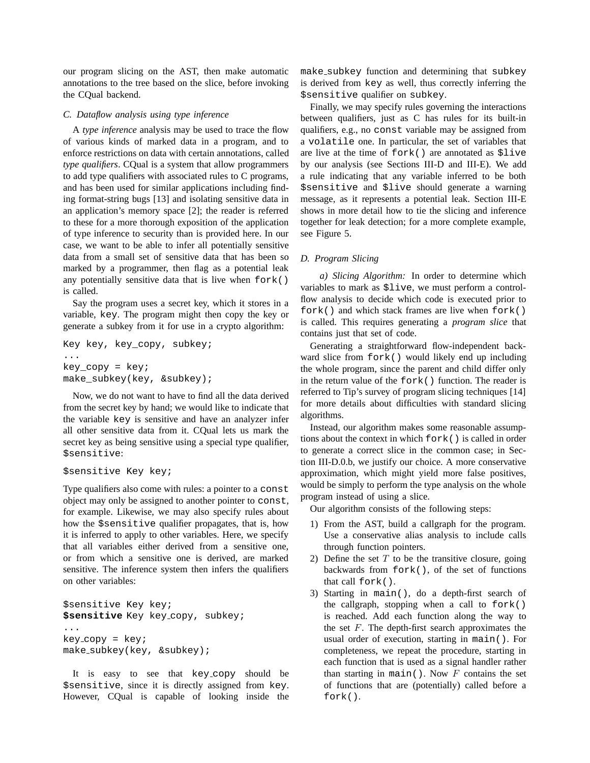our program slicing on the AST, then make automatic annotations to the tree based on the slice, before invoking the CQual backend.

## *C. Dataflow analysis using type inference*

A *type inference* analysis may be used to trace the flow of various kinds of marked data in a program, and to enforce restrictions on data with certain annotations, called *type qualifiers*. CQual is a system that allow programmers to add type qualifiers with associated rules to C programs, and has been used for similar applications including finding format-string bugs [13] and isolating sensitive data in an application's memory space [2]; the reader is referred to these for a more thorough exposition of the application of type inference to security than is provided here. In our case, we want to be able to infer all potentially sensitive data from a small set of sensitive data that has been so marked by a programmer, then flag as a potential leak any potentially sensitive data that is live when fork() is called.

Say the program uses a secret key, which it stores in a variable, key. The program might then copy the key or generate a subkey from it for use in a crypto algorithm:

```
Key key, key_copy, subkey;
...
key_copy = key;
make subkey(key, &subkey);
```
Now, we do not want to have to find all the data derived from the secret key by hand; we would like to indicate that the variable key is sensitive and have an analyzer infer all other sensitive data from it. CQual lets us mark the secret key as being sensitive using a special type qualifier, \$sensitive:

```
$sensitive Key key;
```
Type qualifiers also come with rules: a pointer to a const object may only be assigned to another pointer to const, for example. Likewise, we may also specify rules about how the \$sensitive qualifier propagates, that is, how it is inferred to apply to other variables. Here, we specify that all variables either derived from a sensitive one, or from which a sensitive one is derived, are marked sensitive. The inference system then infers the qualifiers on other variables:

```
$sensitive Key key;
$sensitive Key key copy, subkey;
...
key\_copy = key;make_subkey(key, &subkey);
```
It is easy to see that key\_copy should be \$sensitive, since it is directly assigned from key. However, CQual is capable of looking inside the make subkey function and determining that subkey is derived from key as well, thus correctly inferring the \$sensitive qualifier on subkey.

Finally, we may specify rules governing the interactions between qualifiers, just as C has rules for its built-in qualifiers, e.g., no const variable may be assigned from a volatile one. In particular, the set of variables that are live at the time of fork() are annotated as \$live by our analysis (see Sections III-D and III-E). We add a rule indicating that any variable inferred to be both \$sensitive and \$live should generate a warning message, as it represents a potential leak. Section III-E shows in more detail how to tie the slicing and inference together for leak detection; for a more complete example, see Figure 5.

# *D. Program Slicing*

*a) Slicing Algorithm:* In order to determine which variables to mark as \$live, we must perform a controlflow analysis to decide which code is executed prior to fork() and which stack frames are live when fork() is called. This requires generating a *program slice* that contains just that set of code.

Generating a straightforward flow-independent backward slice from fork() would likely end up including the whole program, since the parent and child differ only in the return value of the fork() function. The reader is referred to Tip's survey of program slicing techniques [14] for more details about difficulties with standard slicing algorithms.

Instead, our algorithm makes some reasonable assumptions about the context in which fork() is called in order to generate a correct slice in the common case; in Section III-D.0.b, we justify our choice. A more conservative approximation, which might yield more false positives, would be simply to perform the type analysis on the whole program instead of using a slice.

Our algorithm consists of the following steps:

- 1) From the AST, build a callgraph for the program. Use a conservative alias analysis to include calls through function pointers.
- 2) Define the set  $T$  to be the transitive closure, going backwards from fork(), of the set of functions that call fork().
- 3) Starting in main(), do a depth-first search of the callgraph, stopping when a call to fork() is reached. Add each function along the way to the set  $F$ . The depth-first search approximates the usual order of execution, starting in main(). For completeness, we repeat the procedure, starting in each function that is used as a signal handler rather than starting in main(). Now  $F$  contains the set of functions that are (potentially) called before a fork().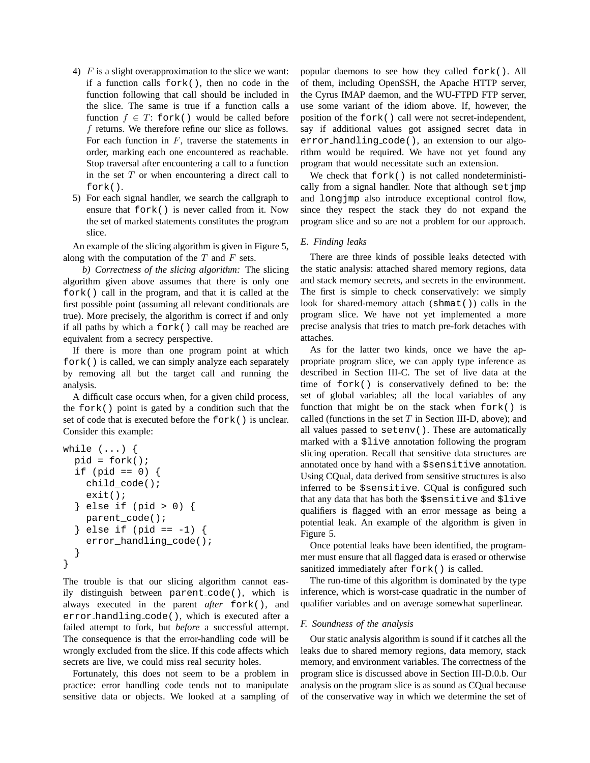- 4)  $F$  is a slight overapproximation to the slice we want: if a function calls fork(), then no code in the function following that call should be included in the slice. The same is true if a function calls a function  $f \in T$ : fork() would be called before f returns. We therefore refine our slice as follows. For each function in  $F$ , traverse the statements in order, marking each one encountered as reachable. Stop traversal after encountering a call to a function in the set  $T$  or when encountering a direct call to fork().
- 5) For each signal handler, we search the callgraph to ensure that fork() is never called from it. Now the set of marked statements constitutes the program slice.

An example of the slicing algorithm is given in Figure 5, along with the computation of the  $T$  and  $F$  sets.

*b) Correctness of the slicing algorithm:* The slicing algorithm given above assumes that there is only one fork() call in the program, and that it is called at the first possible point (assuming all relevant conditionals are true). More precisely, the algorithm is correct if and only if all paths by which a fork() call may be reached are equivalent from a secrecy perspective.

If there is more than one program point at which fork() is called, we can simply analyze each separately by removing all but the target call and running the analysis.

A difficult case occurs when, for a given child process, the fork() point is gated by a condition such that the set of code that is executed before the fork() is unclear. Consider this example:

```
while (...) {
 pid = fork();
  if (pid == 0) {
    child_code();
    exit();
  } else if (pid > 0) {
    parent_code();
  } else if (pid == -1) {
    error_handling_code();
  }
}
```
The trouble is that our slicing algorithm cannot easily distinguish between parent code(), which is always executed in the parent *after* fork(), and error handling code(), which is executed after a failed attempt to fork, but *before* a successful attempt. The consequence is that the error-handling code will be wrongly excluded from the slice. If this code affects which secrets are live, we could miss real security holes.

Fortunately, this does not seem to be a problem in practice: error handling code tends not to manipulate sensitive data or objects. We looked at a sampling of popular daemons to see how they called fork(). All of them, including OpenSSH, the Apache HTTP server, the Cyrus IMAP daemon, and the WU-FTPD FTP server, use some variant of the idiom above. If, however, the position of the fork() call were not secret-independent, say if additional values got assigned secret data in error handling code(), an extension to our algorithm would be required. We have not yet found any program that would necessitate such an extension.

We check that  $f \circ r$  is not called nondeterministically from a signal handler. Note that although set jmp and longjmp also introduce exceptional control flow, since they respect the stack they do not expand the program slice and so are not a problem for our approach.

## *E. Finding leaks*

There are three kinds of possible leaks detected with the static analysis: attached shared memory regions, data and stack memory secrets, and secrets in the environment. The first is simple to check conservatively: we simply look for shared-memory attach (shmat()) calls in the program slice. We have not yet implemented a more precise analysis that tries to match pre-fork detaches with attaches.

As for the latter two kinds, once we have the appropriate program slice, we can apply type inference as described in Section III-C. The set of live data at the time of fork() is conservatively defined to be: the set of global variables; all the local variables of any function that might be on the stack when fork() is called (functions in the set  $T$  in Section III-D, above); and all values passed to setenv(). These are automatically marked with a \$live annotation following the program slicing operation. Recall that sensitive data structures are annotated once by hand with a \$sensitive annotation. Using CQual, data derived from sensitive structures is also inferred to be \$sensitive. CQual is configured such that any data that has both the \$sensitive and \$live qualifiers is flagged with an error message as being a potential leak. An example of the algorithm is given in Figure 5.

Once potential leaks have been identified, the programmer must ensure that all flagged data is erased or otherwise sanitized immediately after fork() is called.

The run-time of this algorithm is dominated by the type inference, which is worst-case quadratic in the number of qualifier variables and on average somewhat superlinear.

#### *F. Soundness of the analysis*

Our static analysis algorithm is sound if it catches all the leaks due to shared memory regions, data memory, stack memory, and environment variables. The correctness of the program slice is discussed above in Section III-D.0.b. Our analysis on the program slice is as sound as CQual because of the conservative way in which we determine the set of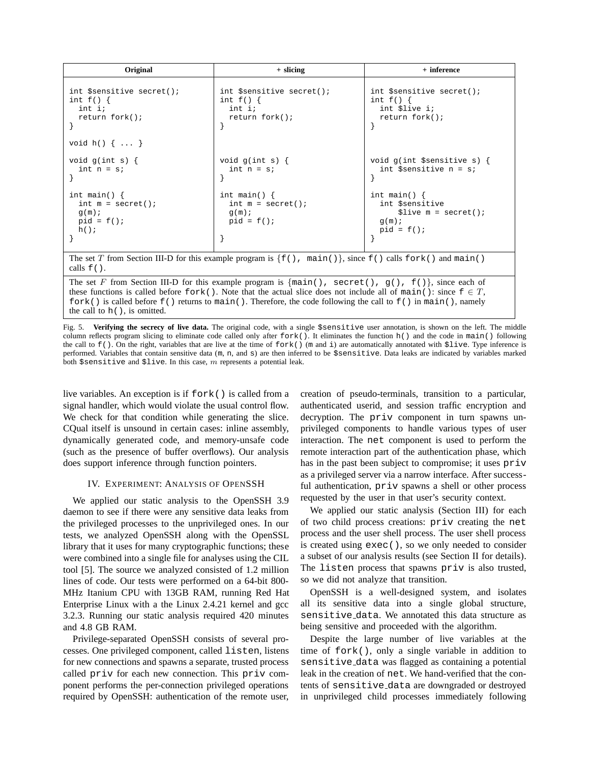| Original                                                                                                                                                                                                                                                                        | $+$ slicing                                                          | + inference                                                                        |  |
|---------------------------------------------------------------------------------------------------------------------------------------------------------------------------------------------------------------------------------------------------------------------------------|----------------------------------------------------------------------|------------------------------------------------------------------------------------|--|
| int \$sensitive secret();<br>int $f() \{$<br>int i;<br>return fork();                                                                                                                                                                                                           | int \$sensitive secret();<br>int $f()$ {<br>int i;<br>return fork(); | int \$sensitive secret();<br>int $f() \{$<br>int \$live i;<br>return fork();       |  |
| void $h() \{ \ldots \}$                                                                                                                                                                                                                                                         |                                                                      |                                                                                    |  |
| void $g(int s)$ {<br>int $n = si$                                                                                                                                                                                                                                               | void $g(int s)$ {<br>int $n = si$                                    | void $g(int$ \$sensitive s) {<br>int \$sensitive $n = si$                          |  |
| int main() $\{$<br>int $m = secret()$ ;<br>q(m);<br>$pid = f()$<br>h()                                                                                                                                                                                                          | int main() $\{$<br>int $m = secret()$ ;<br>q(m);<br>$pid = f()$      | int main() $\{$<br>int \$sensitive<br>$$live m = secret()$<br>q(m);<br>$pid = f()$ |  |
| The set T from Section III-D for this example program is $\{f(.)$ , main(), since $f(.)$ calls $f \circ f(.)$ and main()<br>calls $f()$ .                                                                                                                                       |                                                                      |                                                                                    |  |
| The set F from Section III-D for this example program is $\{\text{main}(\cdot), \text{secret}(\cdot), g(\cdot), f(\cdot)\}\$ , since each of<br>these functions is called before $f \circ r k$ ). Note that the actual slice does not include all of main (): since $f \in T$ , |                                                                      |                                                                                    |  |

fork() is called before  $f()$  returns to main(). Therefore, the code following the call to  $f()$  in main(), namely the call to h(), is omitted.

Fig. 5. **Verifying the secrecy of live data.** The original code, with a single \$sensitive user annotation, is shown on the left. The middle column reflects program slicing to eliminate code called only after  $f(x)$ . It eliminates the function  $h()$  and the code in main() following the call to  $f(.)$ . On the right, variables that are live at the time of  $f \circ r k()$  (m and i) are automatically annotated with  $\text{Slice}$ . Type inference is performed. Variables that contain sensitive data (m, n, and s) are then inferred to be \$sensitive. Data leaks are indicated by variables marked both  $s$  sensitive and  $s$ live. In this case, m represents a potential leak.

live variables. An exception is if  $f \circ r k$  () is called from a signal handler, which would violate the usual control flow. We check for that condition while generating the slice. CQual itself is unsound in certain cases: inline assembly, dynamically generated code, and memory-unsafe code (such as the presence of buffer overflows). Our analysis does support inference through function pointers.

#### IV. EXPERIMENT: ANALYSIS OF OPENSSH

We applied our static analysis to the OpenSSH 3.9 daemon to see if there were any sensitive data leaks from the privileged processes to the unprivileged ones. In our tests, we analyzed OpenSSH along with the OpenSSL library that it uses for many cryptographic functions; these were combined into a single file for analyses using the CIL tool [5]. The source we analyzed consisted of 1.2 million lines of code. Our tests were performed on a 64-bit 800- MHz Itanium CPU with 13GB RAM, running Red Hat Enterprise Linux with a the Linux 2.4.21 kernel and gcc 3.2.3. Running our static analysis required 420 minutes and 4.8 GB RAM.

Privilege-separated OpenSSH consists of several processes. One privileged component, called listen, listens for new connections and spawns a separate, trusted process called priv for each new connection. This priv component performs the per-connection privileged operations required by OpenSSH: authentication of the remote user, creation of pseudo-terminals, transition to a particular, authenticated userid, and session traffic encryption and decryption. The priv component in turn spawns unprivileged components to handle various types of user interaction. The net component is used to perform the remote interaction part of the authentication phase, which has in the past been subject to compromise; it uses priv as a privileged server via a narrow interface. After successful authentication, priv spawns a shell or other process requested by the user in that user's security context.

We applied our static analysis (Section III) for each of two child process creations: priv creating the net process and the user shell process. The user shell process is created using exec(), so we only needed to consider a subset of our analysis results (see Section II for details). The listen process that spawns priv is also trusted, so we did not analyze that transition.

OpenSSH is a well-designed system, and isolates all its sensitive data into a single global structure, sensitive data. We annotated this data structure as being sensitive and proceeded with the algorithm.

Despite the large number of live variables at the time of fork(), only a single variable in addition to sensitive data was flagged as containing a potential leak in the creation of net. We hand-verified that the contents of sensitive data are downgraded or destroyed in unprivileged child processes immediately following